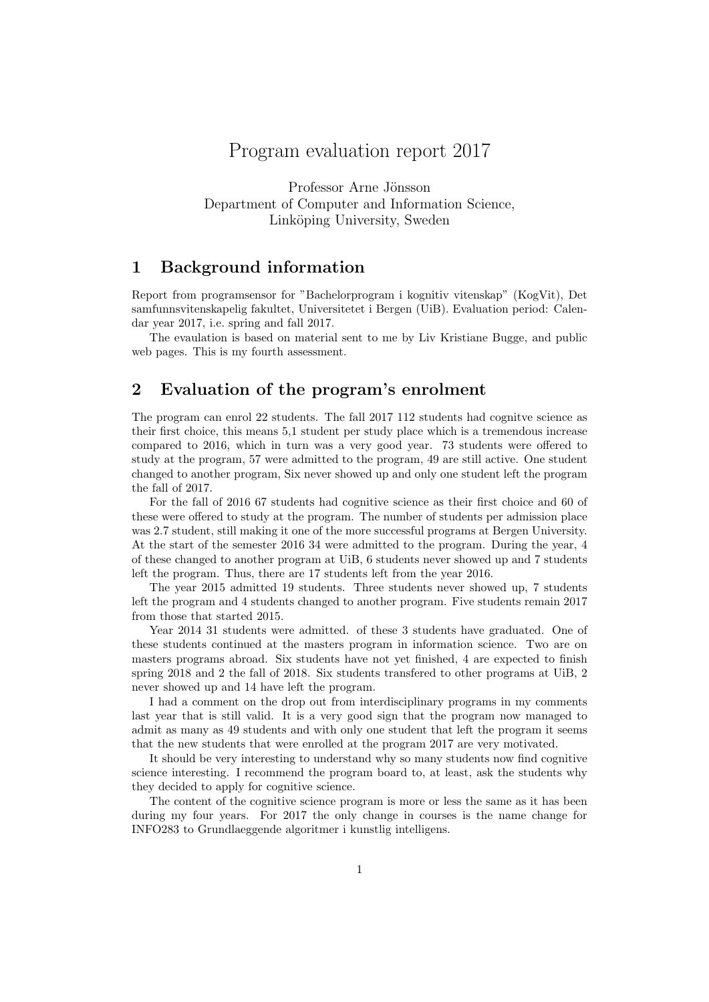# Program evaluation report 2017

Professor Arne Jönsson Department of Computer and Information Science, Linköping University, Sweden

## 1 Background information

Report from programsensor for "Bachelorprogram i kognitiv vitenskap" (KogVit), Det samfunnsvitenskapelig fakultet, Universitetet i Bergen (UiB). Evaluation period: Calendar year 2017, i.e. spring and fall 2017.

The evaulation is based on material sent to me by Liv Kristiane Bugge, and public web pages. This is my fourth assessment.

## 2 Evaluation of the program's enrolment

The program can enrol 22 students. The fall 2017 112 students had cognitve science as their first choice, this means 5,1 student per study place which is a tremendous increase compared to 2016, which in turn was a very good year. 73 students were offered to study at the program, 57 were admitted to the program, 49 are still active. One student changed to another program, Six never showed up and only one student left the program the fall of 2017.

For the fall of 2016 67 students had cognitive science as their first choice and 60 of these were offered to study at the program. The number of students per admission place was 2.7 student, still making it one of the more successful programs at Bergen University. At the start of the semester 2016 34 were admitted to the program. During the year, 4 of these changed to another program at UiB, 6 students never showed up and 7 students left the program. Thus, there are 17 students left from the year 2016.

The year 2015 admitted 19 students. Three students never showed up, 7 students left the program and 4 students changed to another program. Five students remain 2017 from those that started 2015.

Year 2014 31 students were admitted. of these 3 students have graduated. One of these students continued at the masters program in information science. Two are on masters programs abroad. Six students have not yet finished, 4 are expected to finish spring 2018 and 2 the fall of 2018. Six students transfered to other programs at UiB, 2 never showed up and 14 have left the program.

I had a comment on the drop out from interdisciplinary programs in my comments last year that is still valid. It is a very good sign that the program now managed to admit as many as 49 students and with only one student that left the program it seems that the new students that were enrolled at the program 2017 are very motivated.

It should be very interesting to understand why so many students now find cognitive science interesting. I recommend the program board to, at least, ask the students why they decided to apply for cognitive science.

The content of the cognitive science program is more or less the same as it has been during my four years. For 2017 the only change in courses is the name change for INFO283 to Grundlaeggende algoritmer i kunstlig intelligens.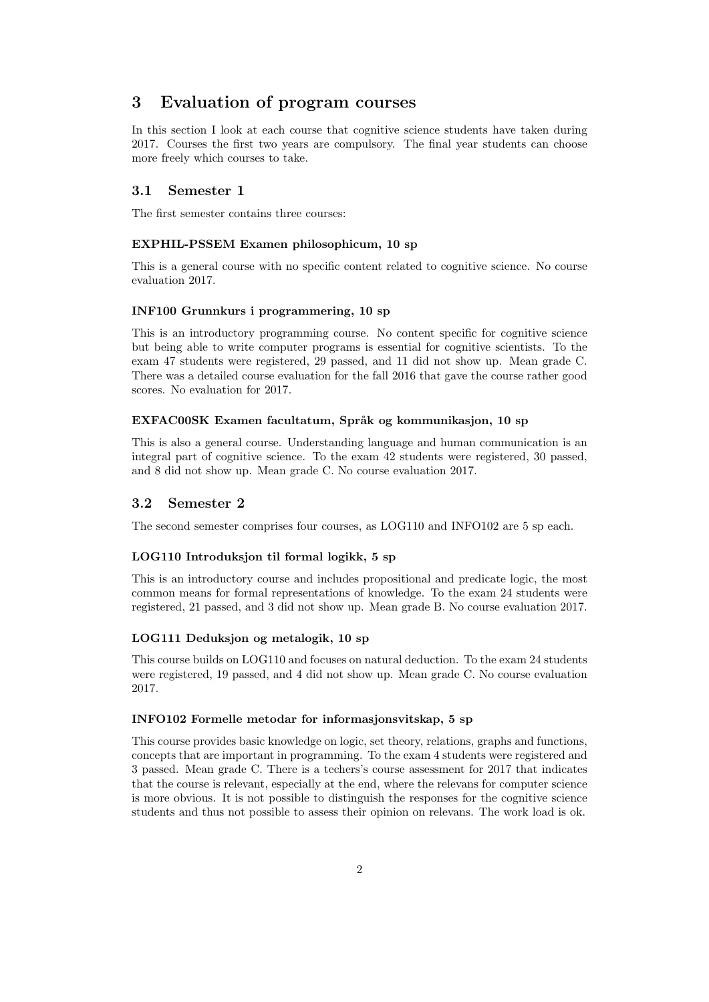## 3 Evaluation of program courses

In this section I look at each course that cognitive science students have taken during 2017. Courses the first two years are compulsory. The final year students can choose more freely which courses to take.

## 3.1 Semester 1

The first semester contains three courses:

## EXPHIL-PSSEM Examen philosophicum, 10 sp

This is a general course with no specific content related to cognitive science. No course evaluation 2017.

#### INF100 Grunnkurs i programmering, 10 sp

This is an introductory programming course. No content specific for cognitive science but being able to write computer programs is essential for cognitive scientists. To the exam 47 students were registered, 29 passed, and 11 did not show up. Mean grade C. There was a detailed course evaluation for the fall 2016 that gave the course rather good scores. No evaluation for 2017.

#### EXFAC00SK Examen facultatum, Språk og kommunikasjon, 10 sp

This is also a general course. Understanding language and human communication is an integral part of cognitive science. To the exam 42 students were registered, 30 passed, and 8 did not show up. Mean grade C. No course evaluation 2017.

#### 3.2 Semester 2

The second semester comprises four courses, as LOG110 and INFO102 are 5 sp each.

#### LOG110 Introduksjon til formal logikk, 5 sp

This is an introductory course and includes propositional and predicate logic, the most common means for formal representations of knowledge. To the exam 24 students were registered, 21 passed, and 3 did not show up. Mean grade B. No course evaluation 2017.

#### LOG111 Deduksjon og metalogik, 10 sp

This course builds on LOG110 and focuses on natural deduction. To the exam 24 students were registered, 19 passed, and 4 did not show up. Mean grade C. No course evaluation 2017.

#### INFO102 Formelle metodar for informasjonsvitskap, 5 sp

This course provides basic knowledge on logic, set theory, relations, graphs and functions, concepts that are important in programming. To the exam 4 students were registered and 3 passed. Mean grade C. There is a techers's course assessment for 2017 that indicates that the course is relevant, especially at the end, where the relevans for computer science is more obvious. It is not possible to distinguish the responses for the cognitive science students and thus not possible to assess their opinion on relevans. The work load is ok.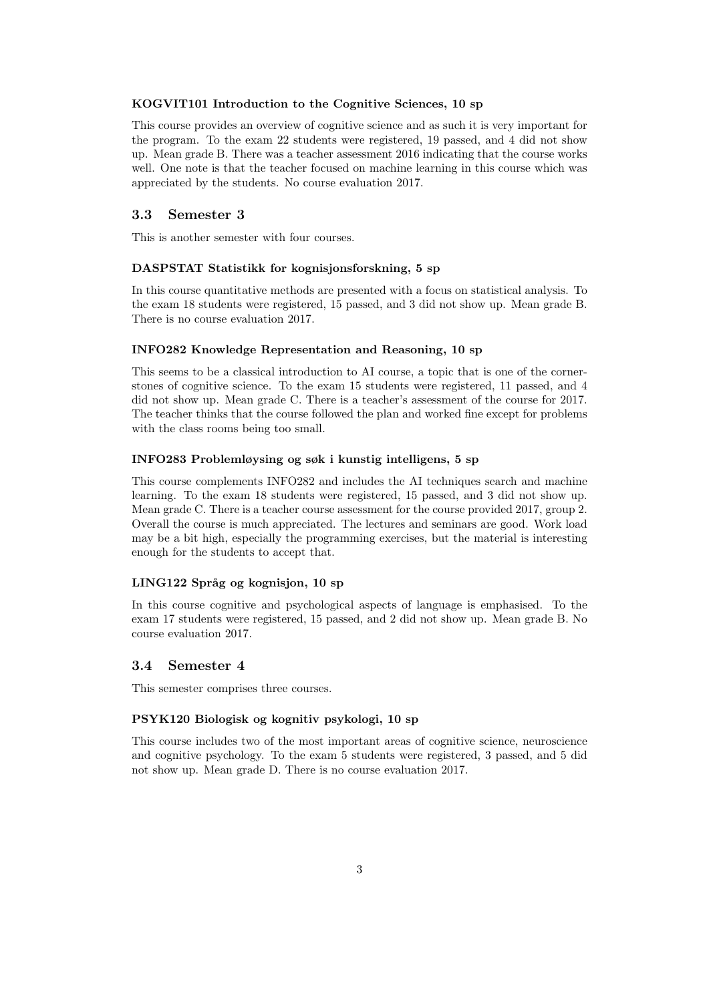#### KOGVIT101 Introduction to the Cognitive Sciences, 10 sp

This course provides an overview of cognitive science and as such it is very important for the program. To the exam 22 students were registered, 19 passed, and 4 did not show up. Mean grade B. There was a teacher assessment 2016 indicating that the course works well. One note is that the teacher focused on machine learning in this course which was appreciated by the students. No course evaluation 2017.

## 3.3 Semester 3

This is another semester with four courses.

## DASPSTAT Statistikk for kognisjonsforskning, 5 sp

In this course quantitative methods are presented with a focus on statistical analysis. To the exam 18 students were registered, 15 passed, and 3 did not show up. Mean grade B. There is no course evaluation 2017.

#### INFO282 Knowledge Representation and Reasoning, 10 sp

This seems to be a classical introduction to AI course, a topic that is one of the cornerstones of cognitive science. To the exam 15 students were registered, 11 passed, and 4 did not show up. Mean grade C. There is a teacher's assessment of the course for 2017. The teacher thinks that the course followed the plan and worked fine except for problems with the class rooms being too small.

### INFO283 Problemløysing og søk i kunstig intelligens, 5 sp

This course complements INFO282 and includes the AI techniques search and machine learning. To the exam 18 students were registered, 15 passed, and 3 did not show up. Mean grade C. There is a teacher course assessment for the course provided 2017, group 2. Overall the course is much appreciated. The lectures and seminars are good. Work load may be a bit high, especially the programming exercises, but the material is interesting enough for the students to accept that.

#### LING122 Språg og kognisjon, 10 sp

In this course cognitive and psychological aspects of language is emphasised. To the exam 17 students were registered, 15 passed, and 2 did not show up. Mean grade B. No course evaluation 2017.

#### 3.4 Semester 4

This semester comprises three courses.

#### PSYK120 Biologisk og kognitiv psykologi, 10 sp

This course includes two of the most important areas of cognitive science, neuroscience and cognitive psychology. To the exam 5 students were registered, 3 passed, and 5 did not show up. Mean grade D. There is no course evaluation 2017.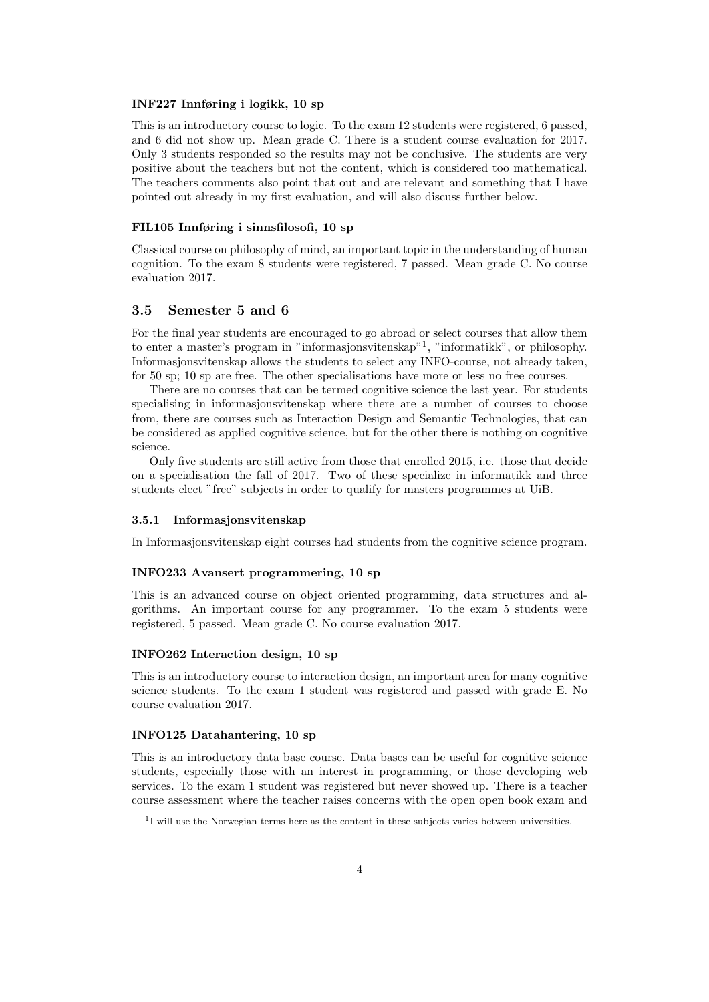#### INF227 Innføring i logikk, 10 sp

This is an introductory course to logic. To the exam 12 students were registered, 6 passed, and 6 did not show up. Mean grade C. There is a student course evaluation for 2017. Only 3 students responded so the results may not be conclusive. The students are very positive about the teachers but not the content, which is considered too mathematical. The teachers comments also point that out and are relevant and something that I have pointed out already in my first evaluation, and will also discuss further below.

#### FIL105 Innføring i sinnsfilosofi, 10 sp

Classical course on philosophy of mind, an important topic in the understanding of human cognition. To the exam 8 students were registered, 7 passed. Mean grade C. No course evaluation 2017.

## 3.5 Semester 5 and 6

For the final year students are encouraged to go abroad or select courses that allow them to enter a master's program in "informasjonsvitenskap"<sup>1</sup> , "informatikk", or philosophy. Informasjonsvitenskap allows the students to select any INFO-course, not already taken, for 50 sp; 10 sp are free. The other specialisations have more or less no free courses.

There are no courses that can be termed cognitive science the last year. For students specialising in informasjonsvitenskap where there are a number of courses to choose from, there are courses such as Interaction Design and Semantic Technologies, that can be considered as applied cognitive science, but for the other there is nothing on cognitive science.

Only five students are still active from those that enrolled 2015, i.e. those that decide on a specialisation the fall of 2017. Two of these specialize in informatikk and three students elect "free" subjects in order to qualify for masters programmes at UiB.

#### 3.5.1 Informasjonsvitenskap

In Informasjonsvitenskap eight courses had students from the cognitive science program.

#### INFO233 Avansert programmering, 10 sp

This is an advanced course on object oriented programming, data structures and algorithms. An important course for any programmer. To the exam 5 students were registered, 5 passed. Mean grade C. No course evaluation 2017.

### INFO262 Interaction design, 10 sp

This is an introductory course to interaction design, an important area for many cognitive science students. To the exam 1 student was registered and passed with grade E. No course evaluation 2017.

### INFO125 Datahantering, 10 sp

This is an introductory data base course. Data bases can be useful for cognitive science students, especially those with an interest in programming, or those developing web services. To the exam 1 student was registered but never showed up. There is a teacher course assessment where the teacher raises concerns with the open open book exam and

<sup>&</sup>lt;sup>1</sup>I will use the Norwegian terms here as the content in these subjects varies between universities.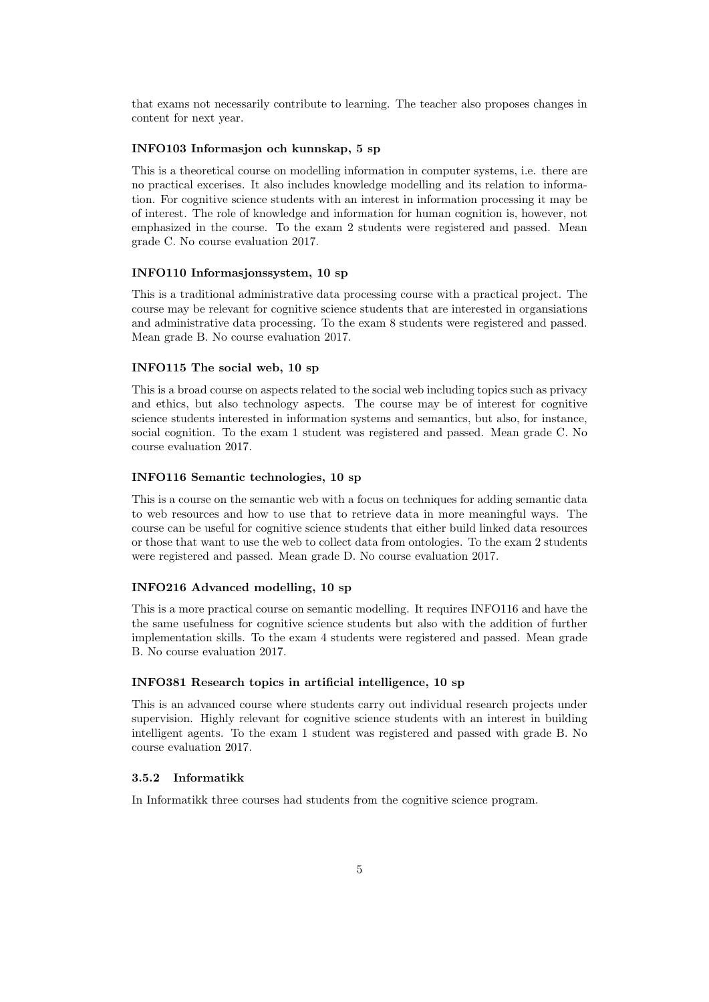that exams not necessarily contribute to learning. The teacher also proposes changes in content for next year.

#### INFO103 Informasjon och kunnskap, 5 sp

This is a theoretical course on modelling information in computer systems, i.e. there are no practical excerises. It also includes knowledge modelling and its relation to information. For cognitive science students with an interest in information processing it may be of interest. The role of knowledge and information for human cognition is, however, not emphasized in the course. To the exam 2 students were registered and passed. Mean grade C. No course evaluation 2017.

#### INFO110 Informasjonssystem, 10 sp

This is a traditional administrative data processing course with a practical project. The course may be relevant for cognitive science students that are interested in organsiations and administrative data processing. To the exam 8 students were registered and passed. Mean grade B. No course evaluation 2017.

#### INFO115 The social web, 10 sp

This is a broad course on aspects related to the social web including topics such as privacy and ethics, but also technology aspects. The course may be of interest for cognitive science students interested in information systems and semantics, but also, for instance, social cognition. To the exam 1 student was registered and passed. Mean grade C. No course evaluation 2017.

### INFO116 Semantic technologies, 10 sp

This is a course on the semantic web with a focus on techniques for adding semantic data to web resources and how to use that to retrieve data in more meaningful ways. The course can be useful for cognitive science students that either build linked data resources or those that want to use the web to collect data from ontologies. To the exam 2 students were registered and passed. Mean grade D. No course evaluation 2017.

#### INFO216 Advanced modelling, 10 sp

This is a more practical course on semantic modelling. It requires INFO116 and have the the same usefulness for cognitive science students but also with the addition of further implementation skills. To the exam 4 students were registered and passed. Mean grade B. No course evaluation 2017.

## INFO381 Research topics in artificial intelligence, 10 sp

This is an advanced course where students carry out individual research projects under supervision. Highly relevant for cognitive science students with an interest in building intelligent agents. To the exam 1 student was registered and passed with grade B. No course evaluation 2017.

#### 3.5.2 Informatikk

In Informatikk three courses had students from the cognitive science program.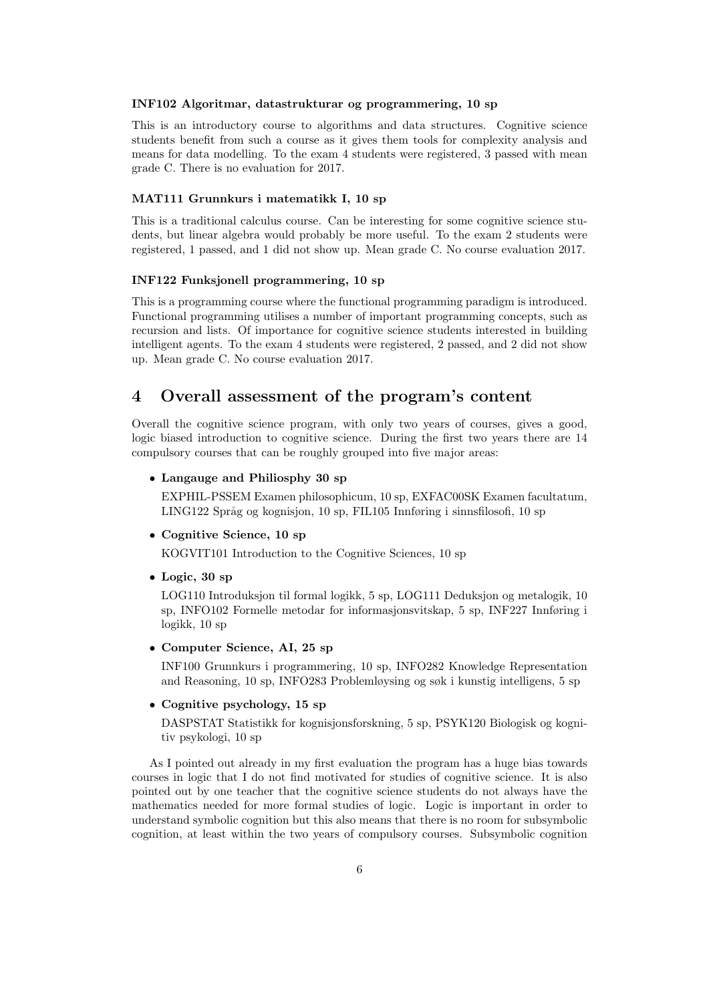#### INF102 Algoritmar, datastrukturar og programmering, 10 sp

This is an introductory course to algorithms and data structures. Cognitive science students benefit from such a course as it gives them tools for complexity analysis and means for data modelling. To the exam 4 students were registered, 3 passed with mean grade C. There is no evaluation for 2017.

#### MAT111 Grunnkurs i matematikk I, 10 sp

This is a traditional calculus course. Can be interesting for some cognitive science students, but linear algebra would probably be more useful. To the exam 2 students were registered, 1 passed, and 1 did not show up. Mean grade C. No course evaluation 2017.

#### INF122 Funksjonell programmering, 10 sp

This is a programming course where the functional programming paradigm is introduced. Functional programming utilises a number of important programming concepts, such as recursion and lists. Of importance for cognitive science students interested in building intelligent agents. To the exam 4 students were registered, 2 passed, and 2 did not show up. Mean grade C. No course evaluation 2017.

## 4 Overall assessment of the program's content

Overall the cognitive science program, with only two years of courses, gives a good, logic biased introduction to cognitive science. During the first two years there are 14 compulsory courses that can be roughly grouped into five major areas:

### • Langauge and Philiosphy 30 sp

EXPHIL-PSSEM Examen philosophicum, 10 sp, EXFAC00SK Examen facultatum, LING122 Språg og kognisjon, 10 sp, FIL105 Innføring i sinnsfilosofi, 10 sp

#### • Cognitive Science, 10 sp

KOGVIT101 Introduction to the Cognitive Sciences, 10 sp

• Logic, 30 sp

LOG110 Introduksjon til formal logikk, 5 sp, LOG111 Deduksjon og metalogik, 10 sp, INFO102 Formelle metodar for informasjonsvitskap, 5 sp, INF227 Innføring i logikk, 10 sp

• Computer Science, AI, 25 sp

INF100 Grunnkurs i programmering, 10 sp, INFO282 Knowledge Representation and Reasoning, 10 sp, INFO283 Problemløysing og søk i kunstig intelligens, 5 sp

#### • Cognitive psychology, 15 sp

DASPSTAT Statistikk for kognisjonsforskning, 5 sp, PSYK120 Biologisk og kognitiv psykologi, 10 sp

As I pointed out already in my first evaluation the program has a huge bias towards courses in logic that I do not find motivated for studies of cognitive science. It is also pointed out by one teacher that the cognitive science students do not always have the mathematics needed for more formal studies of logic. Logic is important in order to understand symbolic cognition but this also means that there is no room for subsymbolic cognition, at least within the two years of compulsory courses. Subsymbolic cognition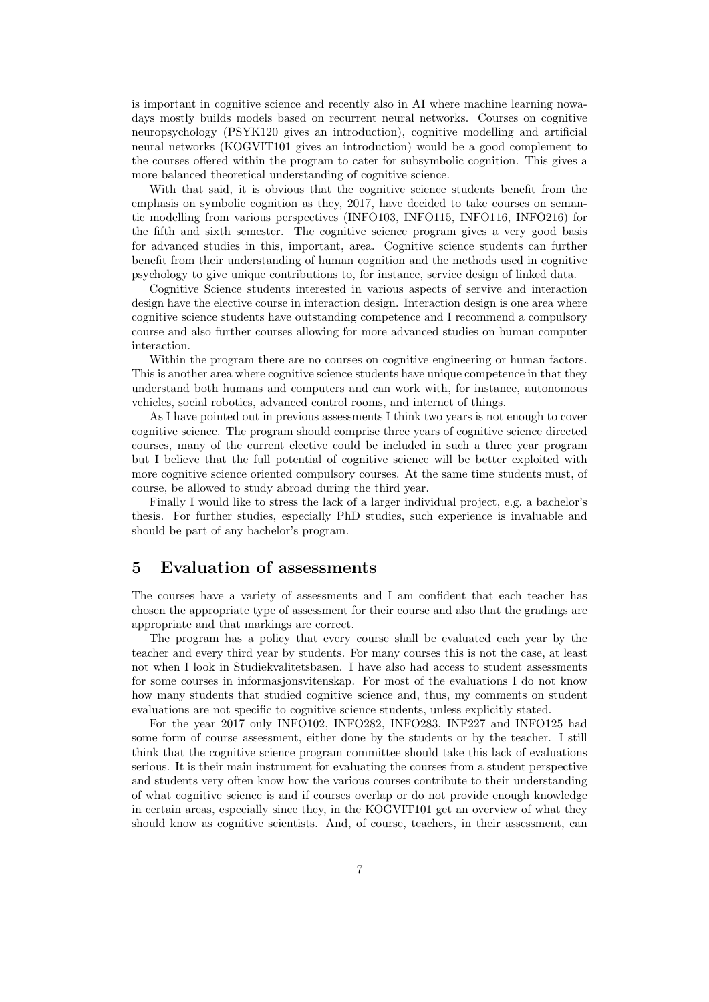is important in cognitive science and recently also in AI where machine learning nowadays mostly builds models based on recurrent neural networks. Courses on cognitive neuropsychology (PSYK120 gives an introduction), cognitive modelling and artificial neural networks (KOGVIT101 gives an introduction) would be a good complement to the courses offered within the program to cater for subsymbolic cognition. This gives a more balanced theoretical understanding of cognitive science.

With that said, it is obvious that the cognitive science students benefit from the emphasis on symbolic cognition as they, 2017, have decided to take courses on semantic modelling from various perspectives (INFO103, INFO115, INFO116, INFO216) for the fifth and sixth semester. The cognitive science program gives a very good basis for advanced studies in this, important, area. Cognitive science students can further benefit from their understanding of human cognition and the methods used in cognitive psychology to give unique contributions to, for instance, service design of linked data.

Cognitive Science students interested in various aspects of servive and interaction design have the elective course in interaction design. Interaction design is one area where cognitive science students have outstanding competence and I recommend a compulsory course and also further courses allowing for more advanced studies on human computer interaction.

Within the program there are no courses on cognitive engineering or human factors. This is another area where cognitive science students have unique competence in that they understand both humans and computers and can work with, for instance, autonomous vehicles, social robotics, advanced control rooms, and internet of things.

As I have pointed out in previous assessments I think two years is not enough to cover cognitive science. The program should comprise three years of cognitive science directed courses, many of the current elective could be included in such a three year program but I believe that the full potential of cognitive science will be better exploited with more cognitive science oriented compulsory courses. At the same time students must, of course, be allowed to study abroad during the third year.

Finally I would like to stress the lack of a larger individual project, e.g. a bachelor's thesis. For further studies, especially PhD studies, such experience is invaluable and should be part of any bachelor's program.

## 5 Evaluation of assessments

The courses have a variety of assessments and I am confident that each teacher has chosen the appropriate type of assessment for their course and also that the gradings are appropriate and that markings are correct.

The program has a policy that every course shall be evaluated each year by the teacher and every third year by students. For many courses this is not the case, at least not when I look in Studiekvalitetsbasen. I have also had access to student assessments for some courses in informasjonsvitenskap. For most of the evaluations I do not know how many students that studied cognitive science and, thus, my comments on student evaluations are not specific to cognitive science students, unless explicitly stated.

For the year 2017 only INFO102, INFO282, INFO283, INF227 and INFO125 had some form of course assessment, either done by the students or by the teacher. I still think that the cognitive science program committee should take this lack of evaluations serious. It is their main instrument for evaluating the courses from a student perspective and students very often know how the various courses contribute to their understanding of what cognitive science is and if courses overlap or do not provide enough knowledge in certain areas, especially since they, in the KOGVIT101 get an overview of what they should know as cognitive scientists. And, of course, teachers, in their assessment, can